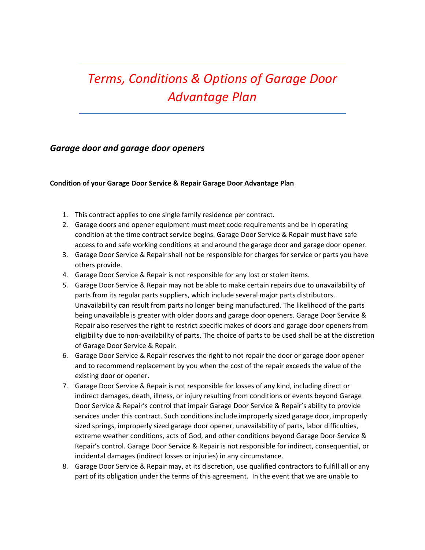## *Terms, Conditions & Options of Garage Door Advantage Plan*

## *Garage door and garage door openers*

## **Condition of your Garage Door Service & Repair Garage Door Advantage Plan**

- 1. This contract applies to one single family residence per contract.
- 2. Garage doors and opener equipment must meet code requirements and be in operating condition at the time contract service begins. Garage Door Service & Repair must have safe access to and safe working conditions at and around the garage door and garage door opener.
- 3. Garage Door Service & Repair shall not be responsible for charges for service or parts you have others provide.
- 4. Garage Door Service & Repair is not responsible for any lost or stolen items.
- 5. Garage Door Service & Repair may not be able to make certain repairs due to unavailability of parts from its regular parts suppliers, which include several major parts distributors. Unavailability can result from parts no longer being manufactured. The likelihood of the parts being unavailable is greater with older doors and garage door openers. Garage Door Service & Repair also reserves the right to restrict specific makes of doors and garage door openers from eligibility due to non-availability of parts. The choice of parts to be used shall be at the discretion of Garage Door Service & Repair.
- 6. Garage Door Service & Repair reserves the right to not repair the door or garage door opener and to recommend replacement by you when the cost of the repair exceeds the value of the existing door or opener.
- 7. Garage Door Service & Repair is not responsible for losses of any kind, including direct or indirect damages, death, illness, or injury resulting from conditions or events beyond Garage Door Service & Repair's control that impair Garage Door Service & Repair's ability to provide services under this contract. Such conditions include improperly sized garage door, improperly sized springs, improperly sized garage door opener, unavailability of parts, labor difficulties, extreme weather conditions, acts of God, and other conditions beyond Garage Door Service & Repair's control. Garage Door Service & Repair is not responsible for indirect, consequential, or incidental damages (indirect losses or injuries) in any circumstance.
- 8. Garage Door Service & Repair may, at its discretion, use qualified contractors to fulfill all or any part of its obligation under the terms of this agreement. In the event that we are unable to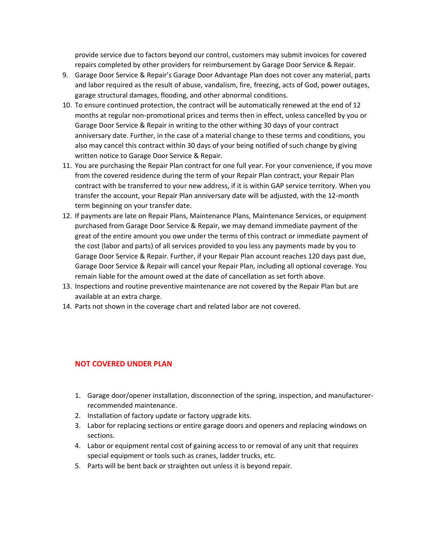provide service due to factors beyond our control, customers may submit invoices for covered repairs completed by other providers for reimbursement by Garage Door Service & Repair.

- 9. Garage Door Service & Repair's Garage Door Advantage Plan does not cover any material, parts and labor required as the result of abuse, vandalism, fire, freezing, acts of God, power outages, garage structural damages, flooding, and other abnormal conditions.
- 10. To ensure continued protection, the contract will be automatically renewed at the end of 12 months at regular non-promotional prices and terms then in effect, unless cancelled by you or Garage Door Service & Repair in writing to the other withing 30 days of your contract anniversary date. Further, in the case of a material change to these terms and conditions, you also may cancel this contract within 30 days of your being notified of such change by giving written notice to Garage Door Service & Repair.
- 11. You are purchasing the Repair Plan contract for one full year. For your convenience, if you move from the covered residence during the term of your Repair Plan contract, your Repair Plan contract with be transferred to your new address, if it is within GAP service territory. When you transfer the account, your Repair Plan anniversary date will be adjusted, with the 12-month term beginning on your transfer date.
- 12. If payments are late on Repair Plans, Maintenance Plans, Maintenance Services, or equipment purchased from Garage Door Service & Repair, we may demand immediate payment of the great of the entire amount you owe under the terms of this contract or immediate payment of the cost (labor and parts) of all services provided to you less any payments made by you to Garage Door Service & Repair. Further, if your Repair Plan account reaches 120 days past due, Garage Door Service & Repair will cancel your Repair Plan, including all optional coverage. You remain liable for the amount owed at the date of cancellation as set forth above.
- 13. Inspections and routine preventive maintenance are not covered by the Repair Plan but are available at an extra charge.
- 14. Parts not shown in the coverage chart and related labor are not covered.

## **NOT COVERED UNDER PLAN**

- 1. Garage door/opener installation, disconnection of the spring, inspection, and manufacturerrecommended maintenance.
- 2. Installation of factory update or factory upgrade kits.
- 3. Labor for replacing sections or entire garage doors and openers and replacing windows on sections.
- 4. Labor or equipment rental cost of gaining access to or removal of any unit that requires special equipment or tools such as cranes, ladder trucks, etc.
- 5. Parts will be bent back or straighten out unless it is beyond repair.